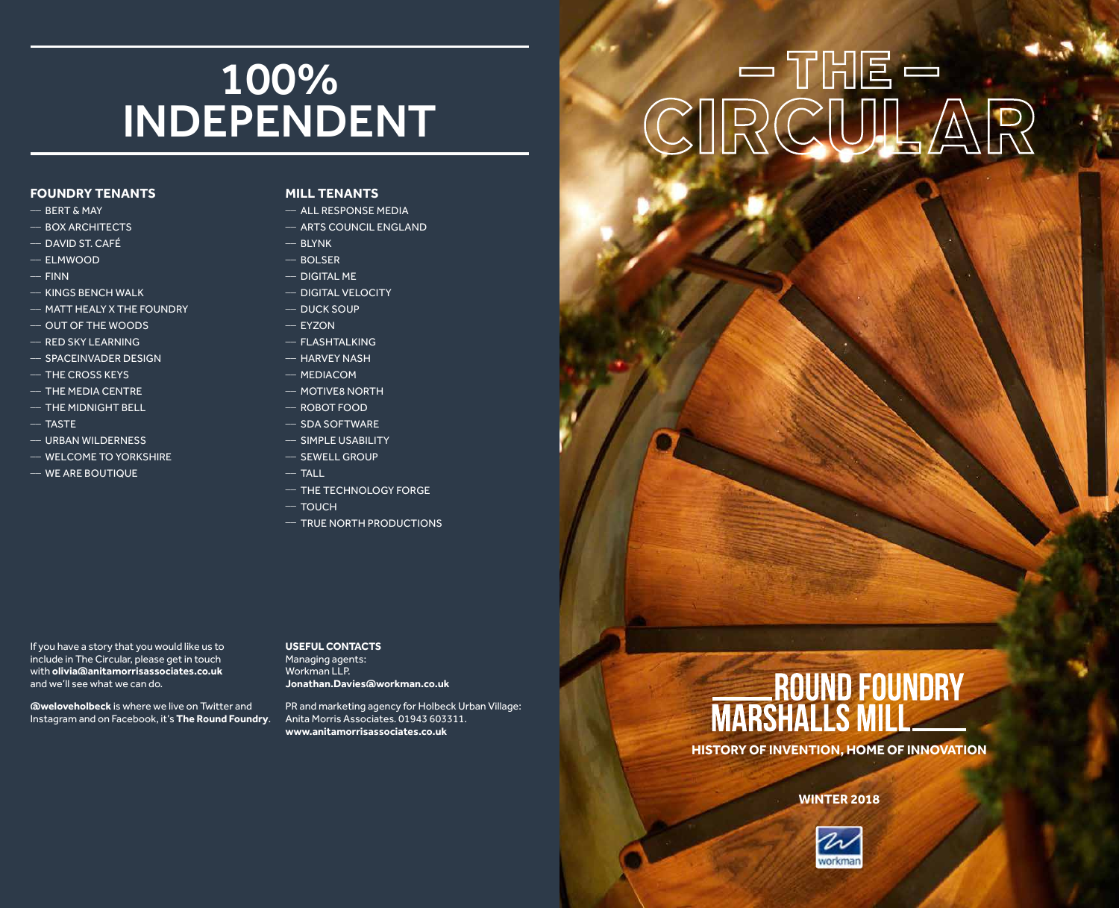### 100% INDEPENDENT

### **FOUNDRY TENANTS**

- $-$  BERT & MAY
- $-$  BOX ARCHITECTS
- \_\_ DAVID ST. CAFÉ
- \_\_ ELMWOOD
- $-$  FINN
- $-$  KINGS BENCH WALK
- \_\_ MATT HEALY X THE FOUNDRY
- \_\_ OUT OF THE WOODS
- $-$  RED SKY LEARNING
- $-$  SPACEINVADER DESIGN
- $-$  THE CROSS KEYS
- $-$  THE MEDIA CENTRE
- $-$  THE MIDNIGHT BELL
- $-$  TASTE
- $-$  URBAN WILDERNESS
- \_\_ WELCOME TO YORKSHIRE
- \_\_ WE ARE BOUTIQUE

### **MILL TENANTS**

- $-$  ALL RESPONSE MEDIA
- $-$  ARTS COUNCIL ENGLAND
- $-$  BLYNK
- $-$  BOLSER
- $-$  DIGITAL MF
- \_\_ DIGITAL VELOCITY
- \_\_ DUCK SOUP
- $-$  EYZON
- \_\_ FLASHTALKING
- $-$  HARVEY NASH
- $-$  MEDIACOM
- $-$  MOTIVE8 NORTH
- $-$  ROBOT FOOD
- \_\_ SDA SOFTWARE
- \_\_ SIMPLE USABILITY
- $-$  SEWELL GROUP
- 
- $-$  THE TECHNOLOGY FORGE
- $-$  TOUCH

 $-$  TALL

 $-$  TRUE NORTH PRODUCTIONS

If you have a story that you would like us to include in The Circular, please get in touch with **olivia@anitamorrisassociates.co.uk** and we'll see what we can do.

**@weloveholbeck** is where we live on Twitter and Instagram and on Facebook, it's **The Round Foundry**. **USEFUL CONTACTS** Managing agents: Workman LLP. **Jonathan.Davies@workman.co.uk**

PR and marketing agency for Holbeck Urban Village: Anita Morris Associates. 01943 603311. **www.anitamorrisassociates.co.uk**

# $\text{CIRCULAR}$

## ROUND FOUNDRY<br>MARSHALLS MILL

**HISTORY OF INVENTION, HOME OF INNOVATION**

### **WINTER 2018**



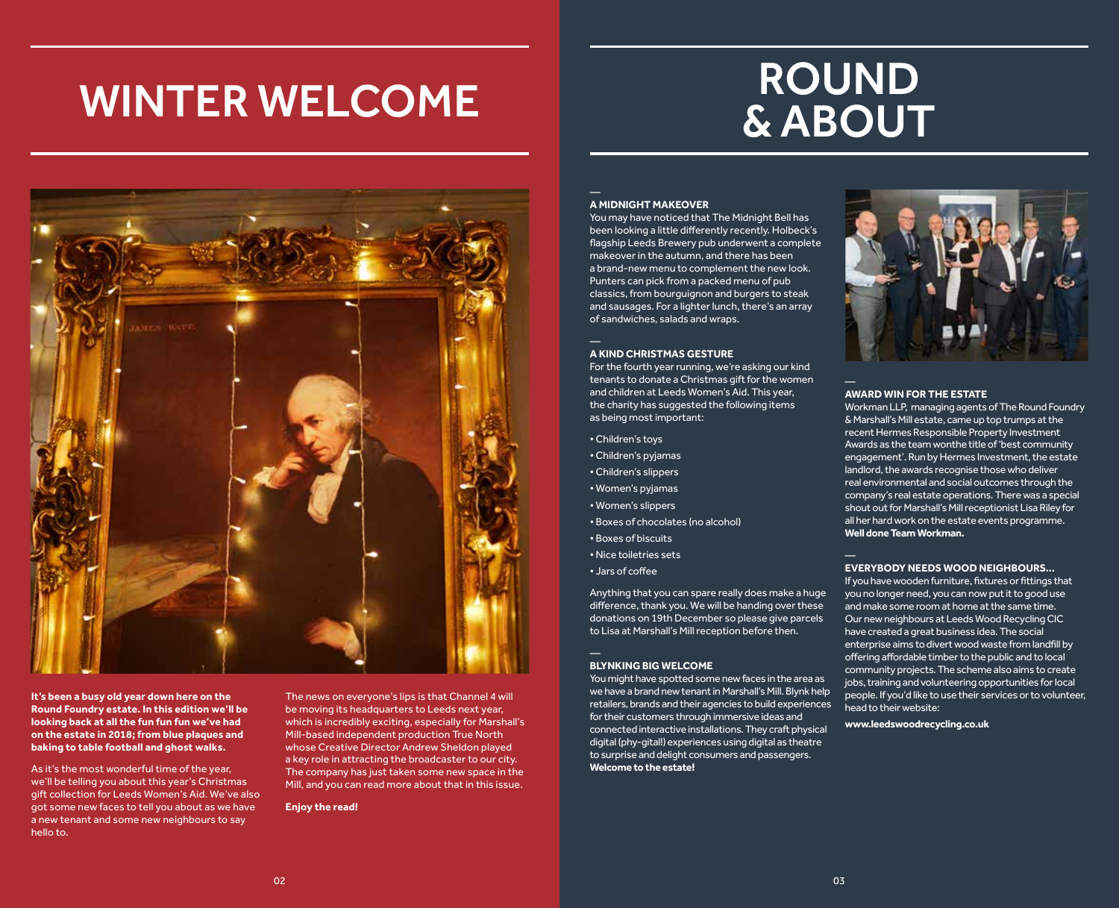### WINTER WELCOME

### ROUND & ABOUT



**It's been a busy old year down here on the Round Foundry estate. In this edition we'll be looking back at all the fun fun fun we've had on the estate in 2018; from blue plaques and baking to table football and ghost walks.** 

As it's the most wonderful time of the year, we'll be telling you about this year's Christmas gift collection for Leeds Women's Aid. We've also got some new faces to tell you about as we have a new tenant and some new neighbours to say hello to.

The news on everyone's lips is that Channel 4 will be moving its headquarters to Leeds next year, which is incredibly exciting, especially for Marshall's Mill-based independent production True North whose Creative Director Andrew Sheldon played a key role in attracting the broadcaster to our city. The company has just taken some new space in the Mill, and you can read more about that in this issue.

**Enjoy the read!**

### **A MIDNIGHT MAKEOVER**

You may have noticed that The Midnight Bell has been looking a little differently recently. Holbeck's flagship Leeds Brewery pub underwent a complete makeover in the autumn, and there has been a brand-new menu to complement the new look. Punters can pick from a packed menu of pub classics, from bourguignon and burgers to steak and sausages. For a lighter lunch, there's an array of sandwiches, salads and wraps.

#### **A KIND CHRISTMAS GESTURE**

For the fourth year running, we're asking our kind tenants to donate a Christmas gift for the women and children at Leeds Women's Aid. This year, the charity has suggested the following items as being most important:

- Children's toys
- Children's pyjamas
- Children's slippers
- Women's pyjamas
- Women's slippers
- Boxes of chocolates (no alcohol)
- Boxes of biscuits
- Nice toiletries sets
- Jars of coffee

Anything that you can spare really does make a huge difference, thank you. We will be handing over these donations on 19th December so please give parcels to Lisa at Marshall's Mill reception before then.

#### **BLYNKING BIG WELCOME**

You might have spotted some new faces in the area as we have a brand new tenant in Marshall's Mill. Blynk help retailers, brands and their agencies to build experiences for their customers through immersive ideas and connected interactive installations. They craft physical digital (phy-gital!) experiences using digital as theatre to surprise and delight consumers and passengers. **Welcome to the estate!** 



#### **AWARD WIN FOR THE ESTATE**

Workman LLP, managing agents of The Round Foundry & Marshall's Mill estate, came up top trumps at the recent Hermes Responsible Property Investment Awards as the team wonthe title of 'best community engagement'. Run by Hermes Investment, the estate landlord, the awards recognise those who deliver real environmental and social outcomes through the company's real estate operations. There was a special shout out for Marshall's Mill receptionist Lisa Riley for all her hard work on the estate events programme. **Well done Team Workman.** 

### **EVERYBODY NEEDS WOOD NEIGHBOURS…**

If you have wooden furniture, fixtures or fittings that you no longer need, you can now put it to good use and make some room at home at the same time. Our new neighbours at Leeds Wood Recycling CIC have created a great business idea. The social enterprise aims to divert wood waste from landfill by offering affordable timber to the public and to local community projects. The scheme also aims to create jobs, training and volunteering opportunities for local people. If you'd like to use their services or to volunteer, head to their website:

**www.leedswoodrecycling.co.uk**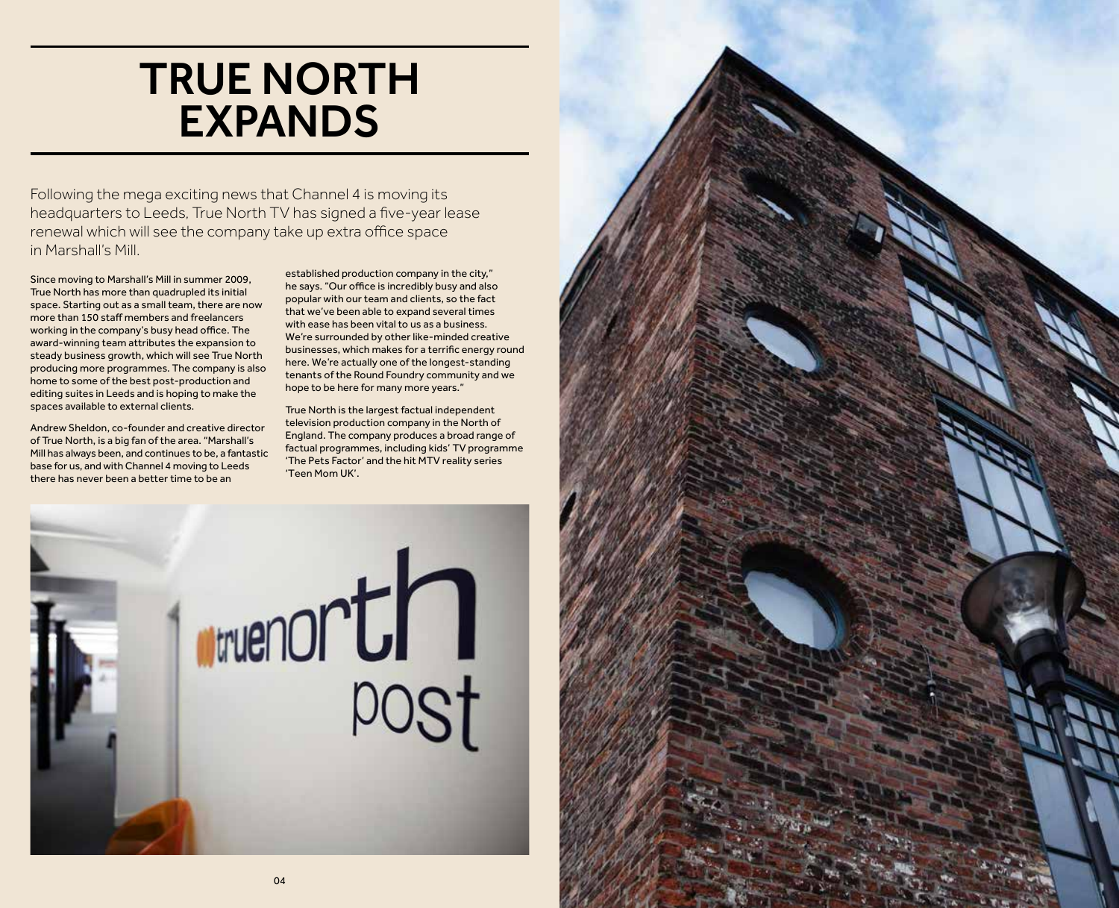### TRUE NORTH EXPANDS

Following the mega exciting news that Channel 4 is moving its headquarters to Leeds, True North TV has signed a five-year lease renewal which will see the company take up extra office space in Marshall's Mill.

Since moving to Marshall's Mill in summer 2009, True North has more than quadrupled its initial space. Starting out as a small team, there are now more than 150 staff members and freelancers working in the company's busy head office. The award-winning team attributes the expansion to steady business growth, which will see True North producing more programmes. The company is also home to some of the best post-production and editing suites in Leeds and is hoping to make the spaces available to external clients.

Andrew Sheldon, co-founder and creative director of True North, is a big fan of the area. "Marshall's Mill has always been, and continues to be, a fantastic base for us, and with Channel 4 moving to Leeds there has never been a better time to be an

established production company in the city," he says. "Our office is incredibly busy and also popular with our team and clients, so the fact that we've been able to expand several times with ease has been vital to us as a business. We're surrounded by other like-minded creative businesses, which makes for a terrific energy round here. We're actually one of the longest-standing tenants of the Round Foundry community and we hope to be here for many more years."

True North is the largest factual independent television production company in the North of England. The company produces a broad range of factual programmes, including kids' TV programme 'The Pets Factor' and the hit MTV reality series 'Teen Mom UK'.



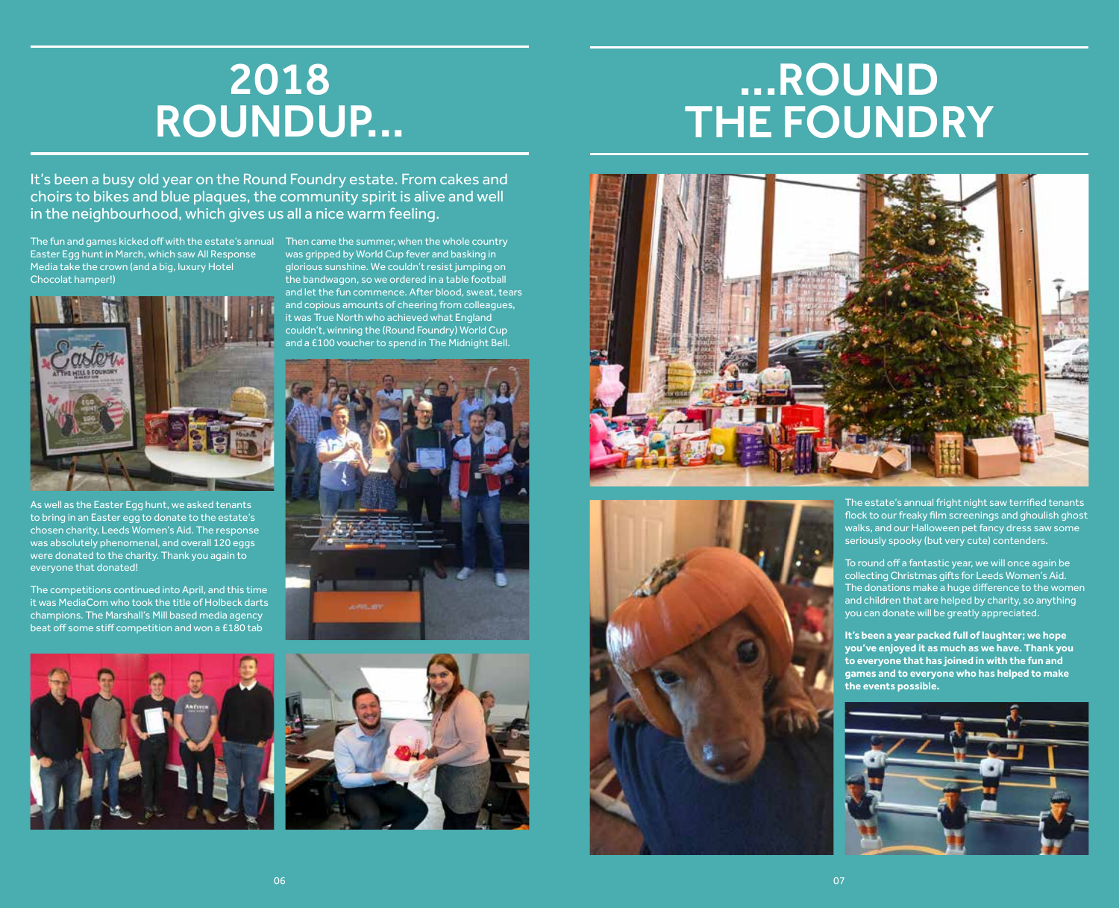### 2018 ROUNDUP...

### ...ROUND THE FOUNDRY

It's been a busy old year on the Round Foundry estate. From cakes and choirs to bikes and blue plaques, the community spirit is alive and well in the neighbourhood, which gives us all a nice warm feeling.

The fun and games kicked off with the estate's annual Then came the summer, when the whole country Easter Egg hunt in March, which saw All Response Media take the crown (and a big, luxury Hotel Chocolat hamper!)



As well as the Easter Egg hunt, we asked tenants to bring in an Easter egg to donate to the estate's chosen charity, Leeds Women's Aid. The response was absolutely phenomenal, and overall 120 eggs were donated to the charity. Thank you again to everyone that donated!

The competitions continued into April, and this time it was MediaCom who took the title of Holbeck darts champions. The Marshall's Mill based media agency beat off some stiff competition and won a £180 tab



was gripped by World Cup fever and basking in glorious sunshine. We couldn't resist jumping on the bandwagon, so we ordered in a table football and let the fun commence. After blood, sweat, tears and copious amounts of cheering from colleagues, it was True North who achieved what England couldn't, winning the (Round Foundry) World Cup and a £100 voucher to spend in The Midnight Bell.









The estate's annual fright night saw terrified tenants flock to our freaky film screenings and ghoulish ghost walks, and our Halloween pet fancy dress saw some seriously spooky (but very cute) contenders.

To round off a fantastic year, we will once again be collecting Christmas gifts for Leeds Women's Aid. The donations make a huge difference to the women and children that are helped by charity, so anything you can donate will be greatly appreciated.

**It's been a year packed full of laughter; we hope you've enjoyed it as much as we have. Thank you to everyone that has joined in with the fun and games and to everyone who has helped to make the events possible.**

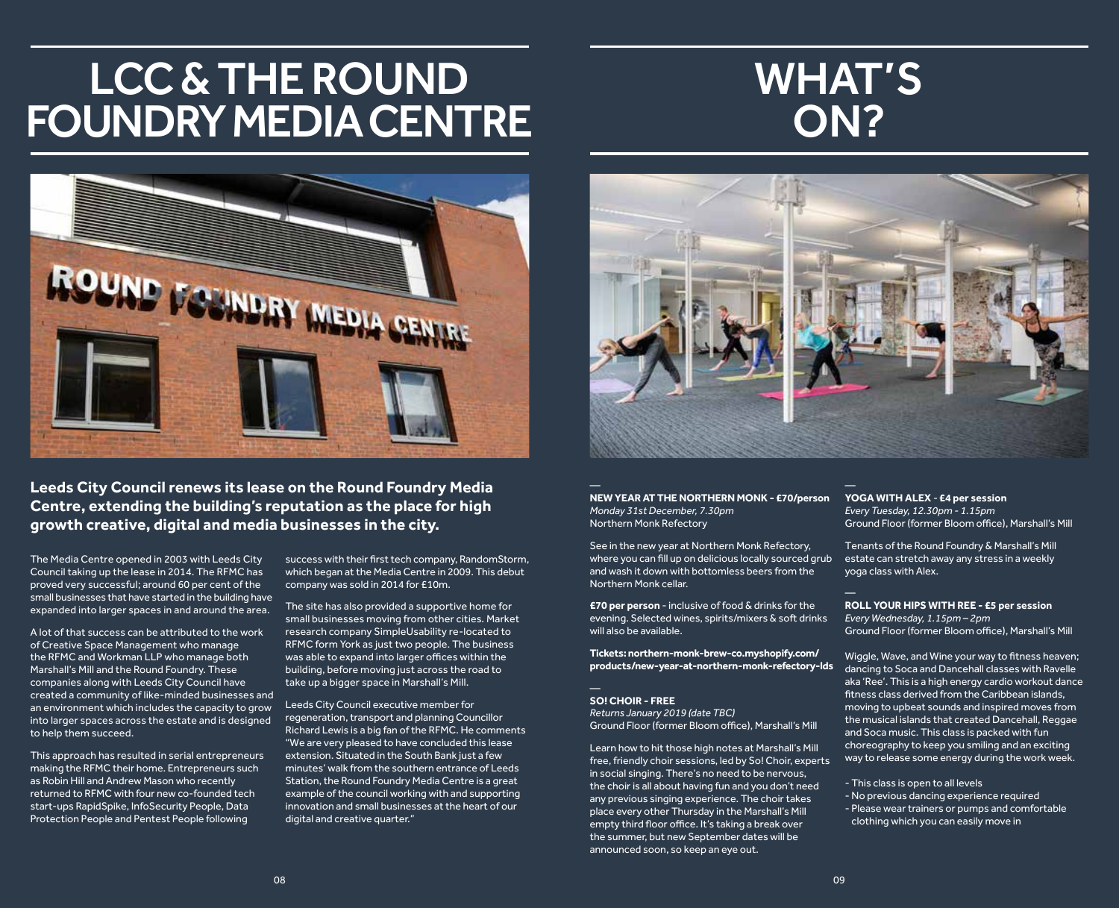### LCC & THE ROUND FOUNDRY MEDIA CENTRE

### WHAT'S ON?



**Leeds City Council renews its lease on the Round Foundry Media Centre, extending the building's reputation as the place for high growth creative, digital and media businesses in the city.** 

The Media Centre opened in 2003 with Leeds City Council taking up the lease in 2014. The RFMC has proved very successful; around 60 per cent of the small businesses that have started in the building have expanded into larger spaces in and around the area.

A lot of that success can be attributed to the work of Creative Space Management who manage the RFMC and Workman LLP who manage both Marshall's Mill and the Round Foundry. These companies along with Leeds City Council have created a community of like-minded businesses and an environment which includes the capacity to grow into larger spaces across the estate and is designed to help them succeed.

This approach has resulted in serial entrepreneurs making the RFMC their home. Entrepreneurs such as Robin Hill and Andrew Mason who recently returned to RFMC with four new co-founded tech start-ups RapidSpike, InfoSecurity People, Data Protection People and Pentest People following

success with their first tech company, RandomStorm, which began at the Media Centre in 2009. This debut company was sold in 2014 for £10m.

The site has also provided a supportive home for small businesses moving from other cities. Market research company SimpleUsability re-located to RFMC form York as just two people. The business was able to expand into larger offices within the building, before moving just across the road to take up a bigger space in Marshall's Mill.

Leeds City Council executive member for regeneration, transport and planning Councillor Richard Lewis is a big fan of the RFMC. He comments "We are very pleased to have concluded this lease extension. Situated in the South Bank just a few minutes' walk from the southern entrance of Leeds Station, the Round Foundry Media Centre is a great example of the council working with and supporting innovation and small businesses at the heart of our digital and creative quarter."



**NEW YEAR AT THE NORTHERN MONK - £70/person** *Monday 31st December, 7.30pm* Northern Monk Refectory

See in the new year at Northern Monk Refectory, where you can fill up on delicious locally sourced grub and wash it down with bottomless beers from the Northern Monk cellar.

**£70 per person** - inclusive of food & drinks for the evening. Selected wines, spirits/mixers & soft drinks will also be available.

**Tickets: northern-monk-brew-co.myshopify.com/ products/new-year-at-northern-monk-refectory-lds**

### **SO! CHOIR - FREE**

*Returns January 2019 (date TBC)* Ground Floor (former Bloom office), Marshall's Mill

Learn how to hit those high notes at Marshall's Mill free, friendly choir sessions, led by So! Choir, experts in social singing. There's no need to be nervous, the choir is all about having fun and you don't need any previous singing experience. The choir takes place every other Thursday in the Marshall's Mill empty third floor office. It's taking a break over the summer, but new September dates will be announced soon, so keep an eye out.

### **YOGA WITH ALEX** *-* **£4 per session**

*Every Tuesday, 12.30pm - 1.15pm* Ground Floor (former Bloom office), Marshall's Mill

Tenants of the Round Foundry & Marshall's Mill estate can stretch away any stress in a weekly yoga class with Alex.

#### **ROLL YOUR HIPS WITH REE - £5 per session** *Every Wednesday, 1.15pm – 2pm*

Ground Floor (former Bloom office), Marshall's Mill

Wiggle, Wave, and Wine your way to fitness heaven; dancing to Soca and Dancehall classes with Ravelle aka 'Ree'. This is a high energy cardio workout dance fitness class derived from the Caribbean islands, moving to upbeat sounds and inspired moves from the musical islands that created Dancehall, Reggae and Soca music. This class is packed with fun choreography to keep you smiling and an exciting way to release some energy during the work week.

- This class is open to all levels
- No previous dancing experience required
- Please wear trainers or pumps and comfortable clothing which you can easily move in